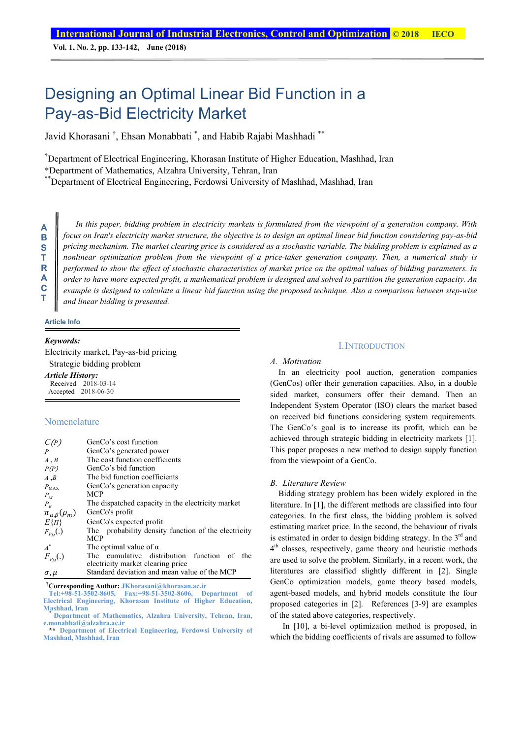**Vol. 1, No. 2, pp. 133-142, June (2018)**

# Designing an Optimal Linear Bid Function in a Pay-as-Bid Electricity Market

Javid Khorasani <sup>†</sup>, Ehsan Monabbati <sup>\*</sup>, and Habib Rajabi Mashhadi <sup>\*\*</sup>

† Department of Electrical Engineering, Khorasan Institute of Higher Education, Mashhad, Iran

\*Department of Mathematics, Alzahra University, Tehran, Iran

\*\*Department of Electrical Engineering, Ferdowsi University of Mashhad, Mashhad, Iran

**A B S T R A C T** 

*In this paper, bidding problem in electricity markets is formulated from the viewpoint of a generation company. With focus on Iran's electricity market structure, the objective is to design an optimal linear bid function considering pay-as-bid pricing mechanism. The market clearing price is considered as a stochastic variable. The bidding problem is explained as a nonlinear optimization problem from the viewpoint of a price-taker generation company. Then, a numerical study is performed to show the effect of stochastic characteristics of market price on the optimal values of bidding parameters. In order to have more expected profit, a mathematical problem is designed and solved to partition the generation capacity. An example is designed to calculate a linear bid function using the proposed technique. Also a comparison between step-wise and linear bidding is presented.* 

#### **Article Info**

# *Keywords:*

Electricity market, Pay-as-bid pricing Strategic bidding problem

#### *Article History:*

Received 2018-03-14 Accepted 2018-06-30

# Nomenclature

| C(P)                         | GenCo's cost function                               |  |  |  |  |  |
|------------------------------|-----------------------------------------------------|--|--|--|--|--|
| $\boldsymbol{P}$             | GenCo's generated power                             |  |  |  |  |  |
| A, B                         | The cost function coefficients                      |  |  |  |  |  |
| P(P)                         | GenCo's bid function                                |  |  |  |  |  |
| A, B                         | The bid function coefficients                       |  |  |  |  |  |
| $P_{MAX}$                    | GenCo's generation capacity                         |  |  |  |  |  |
| $P_M$                        | <b>MCP</b>                                          |  |  |  |  |  |
| $P_E$                        | The dispatched capacity in the electricity market   |  |  |  |  |  |
| $\pi_{\alpha,\beta}(\rho_m)$ | GenCo's profit                                      |  |  |  |  |  |
| $E\{H\}$                     | GenCo's expected profit                             |  |  |  |  |  |
| $F_{P_M}(.)$                 | The probability density function of the electricity |  |  |  |  |  |
|                              | MCP                                                 |  |  |  |  |  |
| $A^*$                        | The optimal value of $\alpha$                       |  |  |  |  |  |
| $F_{P_M}(.)$                 | The cumulative distribution function of<br>the      |  |  |  |  |  |
|                              | electricity market clearing price                   |  |  |  |  |  |
| σ. и                         | Standard deviation and mean value of the MCP        |  |  |  |  |  |

† **Corresponding Author: JKhorasani@khorasan.ac.ir** 

**Tel:+98-51-3502-8605, Fax:+98-51-3502-8606, Department of Electrical Engineering, Khorasan Institute of Higher Education,**

#### I.INTRODUCTION

#### *A. Motivation*

In an electricity pool auction, generation companies (GenCos) offer their generation capacities. Also, in a double sided market, consumers offer their demand. Then an Independent System Operator (ISO) clears the market based on received bid functions considering system requirements. The GenCo's goal is to increase its profit, which can be achieved through strategic bidding in electricity markets [1]. This paper proposes a new method to design supply function from the viewpoint of a GenCo.

#### *B. Literature Review*

Bidding strategy problem has been widely explored in the literature. In [1], the different methods are classified into four categories. In the first class, the bidding problem is solved estimating market price. In the second, the behaviour of rivals is estimated in order to design bidding strategy. In the  $3<sup>rd</sup>$  and  $4<sup>th</sup>$  classes, respectively, game theory and heuristic methods are used to solve the problem. Similarly, in a recent work, the literatures are classified slightly different in [2]. Single GenCo optimization models, game theory based models, agent-based models, and hybrid models constitute the four proposed categories in [2]. References [3-9] are examples of the stated above categories, respectively.

 In [10], a bi-level optimization method is proposed, in which the bidding coefficients of rivals are assumed to follow

Department of Mathematics, Alzahra University, Tehran, Iran, **e.monabbati@alzahra.ac.ir**

**<sup>\*\*</sup> Department of Electrical Engineering, Ferdowsi University of Mashhad, Mashhad, Iran**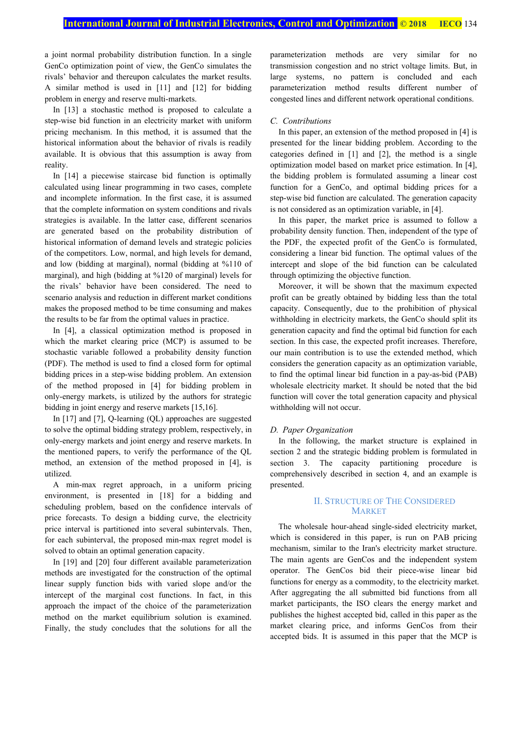a joint normal probability distribution function. In a single GenCo optimization point of view, the GenCo simulates the rivals' behavior and thereupon calculates the market results. A similar method is used in [11] and [12] for bidding problem in energy and reserve multi-markets.

In [13] a stochastic method is proposed to calculate a step-wise bid function in an electricity market with uniform pricing mechanism. In this method, it is assumed that the historical information about the behavior of rivals is readily available. It is obvious that this assumption is away from reality.

In [14] a piecewise staircase bid function is optimally calculated using linear programming in two cases, complete and incomplete information. In the first case, it is assumed that the complete information on system conditions and rivals strategies is available. In the latter case, different scenarios are generated based on the probability distribution of historical information of demand levels and strategic policies of the competitors. Low, normal, and high levels for demand, and low (bidding at marginal), normal (bidding at %110 of marginal), and high (bidding at %120 of marginal) levels for the rivals' behavior have been considered. The need to scenario analysis and reduction in different market conditions makes the proposed method to be time consuming and makes the results to be far from the optimal values in practice.

In [4], a classical optimization method is proposed in which the market clearing price (MCP) is assumed to be stochastic variable followed a probability density function (PDF). The method is used to find a closed form for optimal bidding prices in a step-wise bidding problem. An extension of the method proposed in [4] for bidding problem in only-energy markets, is utilized by the authors for strategic bidding in joint energy and reserve markets [15,16].

In [17] and [7], Q-learning (QL) approaches are suggested to solve the optimal bidding strategy problem, respectively, in only-energy markets and joint energy and reserve markets. In the mentioned papers, to verify the performance of the QL method, an extension of the method proposed in [4], is utilized.

A min-max regret approach, in a uniform pricing environment, is presented in [18] for a bidding and scheduling problem, based on the confidence intervals of price forecasts. To design a bidding curve, the electricity price interval is partitioned into several subintervals. Then, for each subinterval, the proposed min-max regret model is solved to obtain an optimal generation capacity.

In [19] and [20] four different available parameterization methods are investigated for the construction of the optimal linear supply function bids with varied slope and/or the intercept of the marginal cost functions. In fact, in this approach the impact of the choice of the parameterization method on the market equilibrium solution is examined. Finally, the study concludes that the solutions for all the parameterization methods are very similar for no transmission congestion and no strict voltage limits. But, in large systems, no pattern is concluded and each parameterization method results different number of congested lines and different network operational conditions.

# *C. Contributions*

In this paper, an extension of the method proposed in [4] is presented for the linear bidding problem. According to the categories defined in [1] and [2], the method is a single optimization model based on market price estimation. In [4], the bidding problem is formulated assuming a linear cost function for a GenCo, and optimal bidding prices for a step-wise bid function are calculated. The generation capacity is not considered as an optimization variable, in [4].

In this paper, the market price is assumed to follow a probability density function. Then, independent of the type of the PDF, the expected profit of the GenCo is formulated, considering a linear bid function. The optimal values of the intercept and slope of the bid function can be calculated through optimizing the objective function.

Moreover, it will be shown that the maximum expected profit can be greatly obtained by bidding less than the total capacity. Consequently, due to the prohibition of physical withholding in electricity markets, the GenCo should split its generation capacity and find the optimal bid function for each section. In this case, the expected profit increases. Therefore, our main contribution is to use the extended method, which considers the generation capacity as an optimization variable, to find the optimal linear bid function in a pay-as-bid (PAB) wholesale electricity market. It should be noted that the bid function will cover the total generation capacity and physical withholding will not occur.

#### *D. Paper Organization*

In the following, the market structure is explained in section 2 and the strategic bidding problem is formulated in section 3. The capacity partitioning procedure is comprehensively described in section 4, and an example is presented.

# II. STRUCTURE OF THE CONSIDERED MARKET

The wholesale hour-ahead single-sided electricity market, which is considered in this paper, is run on PAB pricing mechanism, similar to the Iran's electricity market structure. The main agents are GenCos and the independent system operator. The GenCos bid their piece-wise linear bid functions for energy as a commodity, to the electricity market. After aggregating the all submitted bid functions from all market participants, the ISO clears the energy market and publishes the highest accepted bid, called in this paper as the market clearing price, and informs GenCos from their accepted bids. It is assumed in this paper that the MCP is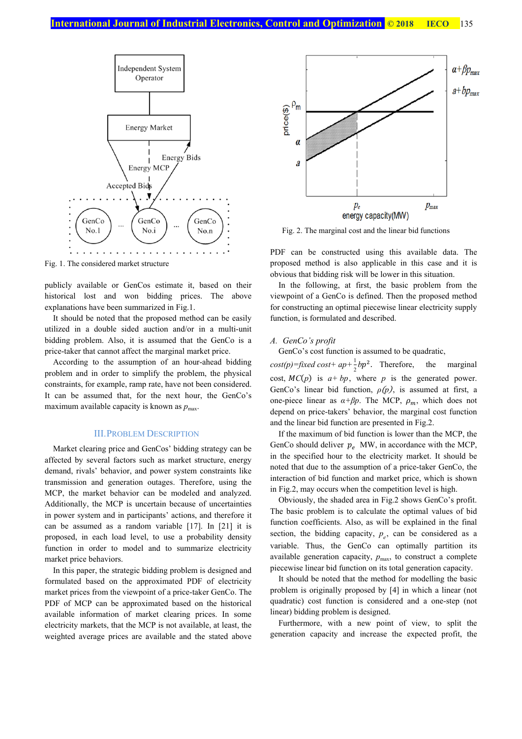

Fig. 1. The considered market structure

publicly available or GenCos estimate it, based on their historical lost and won bidding prices. The above explanations have been summarized in Fig.1.

It should be noted that the proposed method can be easily utilized in a double sided auction and/or in a multi-unit bidding problem. Also, it is assumed that the GenCo is a price-taker that cannot affect the marginal market price.

According to the assumption of an hour-ahead bidding problem and in order to simplify the problem, the physical constraints, for example, ramp rate, have not been considered. It can be assumed that, for the next hour, the GenCo's maximum available capacity is known as  $p_{\text{max}}$ .

#### III.PROBLEM DESCRIPTION

Market clearing price and GenCos' bidding strategy can be affected by several factors such as market structure, energy demand, rivals' behavior, and power system constraints like transmission and generation outages. Therefore, using the MCP, the market behavior can be modeled and analyzed. Additionally, the MCP is uncertain because of uncertainties in power system and in participants' actions, and therefore it can be assumed as a random variable [17]. In [21] it is proposed, in each load level, to use a probability density function in order to model and to summarize electricity market price behaviors.

In this paper, the strategic bidding problem is designed and formulated based on the approximated PDF of electricity market prices from the viewpoint of a price-taker GenCo. The PDF of MCP can be approximated based on the historical available information of market clearing prices. In some electricity markets, that the MCP is not available, at least, the weighted average prices are available and the stated above



Fig. 2. The marginal cost and the linear bid functions

PDF can be constructed using this available data. The proposed method is also applicable in this case and it is obvious that bidding risk will be lower in this situation.

In the following, at first, the basic problem from the viewpoint of a GenCo is defined. Then the proposed method for constructing an optimal piecewise linear electricity supply function, is formulated and described.

# *A. GenCo's profit*

GenCo's cost function is assumed to be quadratic,

 $cost(p) = fixed \ cost + ap + \frac{1}{2}bp^2$ . Therefore, the marginal cost,  $MC(p)$  is  $a + bp$ , where *p* is the generated power. GenCo's linear bid function, *ρ(p)*, is assumed at first, a one-piece linear as  $\alpha + \beta p$ . The MCP,  $\rho_m$ , which does not depend on price-takers' behavior, the marginal cost function and the linear bid function are presented in Fig.2.

If the maximum of bid function is lower than the MCP, the GenCo should deliver  $p_e$  MW, in accordance with the MCP, in the specified hour to the electricity market. It should be noted that due to the assumption of a price-taker GenCo, the interaction of bid function and market price, which is shown in Fig.2, may occurs when the competition level is high.

Obviously, the shaded area in Fig.2 shows GenCo's profit. The basic problem is to calculate the optimal values of bid function coefficients. Also, as will be explained in the final section, the bidding capacity,  $p_e$ , can be considered as a variable. Thus, the GenCo can optimally partition its available generation capacity,  $p_{\text{max}}$ , to construct a complete piecewise linear bid function on its total generation capacity.

It should be noted that the method for modelling the basic problem is originally proposed by [4] in which a linear (not quadratic) cost function is considered and a one-step (not linear) bidding problem is designed.

Furthermore, with a new point of view, to split the generation capacity and increase the expected profit, the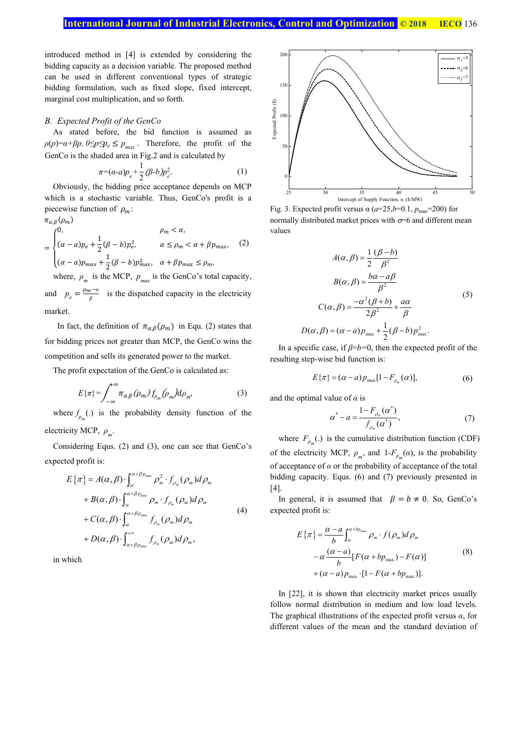introduced method in [4] is extended by considering the bidding capacity as a decision variable. The proposed method can be used in different conventional types of strategic bidding formulation, such as fixed slope, fixed intercept, marginal cost multiplication, and so forth.

#### *B. Expected Profit of the GenCo*

As stated before, the bid function is assumed as  $\rho(p) = \alpha + \beta p$ ,  $0 \le p \le p_e \le p_{max}$ . Therefore, the profit of the GenCo is the shaded area in Fig.2 and is calculated by

$$
\pi = (\alpha - a)p_e + \frac{1}{2} (\beta - b)p_e^2. \tag{1}
$$

Obviously, the bidding price acceptance depends on MCP which is a stochastic variable. Thus, GenCo's profit is a piecewise function of  $\rho_m$ :  $\pi_{\alpha,\beta}(\rho_m)$ 

$$
\rho_m < \alpha,
$$
\n
$$
= \begin{cases}\n0, & \rho_m < \alpha, \\
(\alpha - a)p_e + \frac{1}{2}(\beta - b)p_e^2, & \alpha \le \rho_m < \alpha + \beta p_{\text{max}}, \\
(\alpha - a)p_{\text{max}} + \frac{1}{2}(\beta - b)p_{\text{max}}^2, & \alpha + \beta p_{\text{max}} \le \rho_m,\n\end{cases}
$$
\n(2)

where,  $\rho_m$  is the MCP,  $p_{max}$  is the GenCo's total capacity, and  $p_e = \frac{\rho_m - a}{\beta}$  is the dispatched capacity in the electricity

market.

In fact, the definition of  $\pi_{\alpha,\beta}(\rho_m)$  in Equ. (2) states that for bidding prices not greater than MCP, the GenCo wins the competition and sells its generated power to the market.

The profit expectation of the GenCo is calculated as:

$$
E\{\pi\} = \int_{-\infty}^{\infty} \pi_{\alpha,\beta}(\rho_m) f_{\rho_m}(\rho_m) d\rho_m,
$$
 (3)

where  $f_{\rho_m}$ (.) is the probability density function of the

electricity MCP, *ρm*.

Considering Equs. (2) and (3), one can see that GenCo's expected profit is:

$$
E\{\pi\} = A(\alpha, \beta) \cdot \int_{\alpha}^{\alpha+\beta p_{\text{max}}} \rho_m^2 \cdot f_{\rho_m}(\rho_m) d\rho_m
$$
  
+  $B(\alpha, \beta) \cdot \int_{\alpha}^{\alpha+\beta p_{\text{max}}} \rho_m \cdot f_{\rho_m}(\rho_m) d\rho_m$   
+  $C(\alpha, \beta) \cdot \int_{\alpha}^{\alpha+\beta p_{\text{max}}} f_{\rho_m}(\rho_m) d\rho_m$   
+  $D(\alpha, \beta) \cdot \int_{\alpha+\beta p_{\text{max}}}^{\alpha+\beta} f_{\rho_m}(\rho_m) d\rho_m,$  (4)

in which



Fig. 3. Expected profit versus  $\alpha$  ( $a=25$ , $b=0.1$ ,  $p_{\text{max}}=200$ ) for normally distributed market prices with  $\sigma$ =6 and different mean values

$$
A(\alpha, \beta) = \frac{1}{2} \frac{(\beta - b)}{\beta^2}
$$
  
\n
$$
B(\alpha, \beta) = \frac{b\alpha - a\beta}{\beta^2}
$$
  
\n
$$
C(\alpha, \beta) = \frac{-\alpha^2(\beta + b)}{2\beta^2} + \frac{a\alpha}{\beta}
$$
  
\n
$$
D(\alpha, \beta) = (\alpha - a)p_{\text{max}} + \frac{1}{2}(\beta - b)p_{\text{max}}^2.
$$
\n(5)

In a specific case, if *β*=*b=*0, then the expected profit of the resulting step-wise bid function is:

$$
E\{\pi\} = (\alpha - a)p_{\text{max}}[1 - F_{\rho_m}(\alpha)],\tag{6}
$$

and the optimal value of *α* is

$$
\alpha^* - a = \frac{1 - F_{\rho_m}(\alpha^*)}{f_{\rho_m}(\alpha^*)},\tag{7}
$$

where  $F_{\rho_m}$ .) is the cumulative distribution function (CDF) of the electricity MCP,  $\rho_m$ , and  $1-F_{\rho_m}(\alpha)$ , is the probability of acceptance of  $\alpha$  or the probability of acceptance of the total bidding capacity. Equs. (6) and (7) previously presented in [4].

In general, it is assumed that  $\beta = b \neq 0$ . So, GenCo's expected profit is:

$$
E\{\pi\} = \frac{\alpha - a}{b} \int_{\alpha}^{\alpha + bp_{\text{max}}} \rho_m \cdot f(\rho_m) d\rho_m
$$
  
-  $\alpha \frac{(\alpha - a)}{b} [F(\alpha + bp_{\text{max}}) - F(\alpha)]$  (8)  
+  $(\alpha - a)p_{\text{max}} \cdot [1 - F(\alpha + bp_{\text{max}})].$ 

In [22], it is shown that electricity market prices usually follow normal distribution in medium and low load levels. The graphical illustrations of the expected profit versus *α*, for different values of the mean and the standard deviation of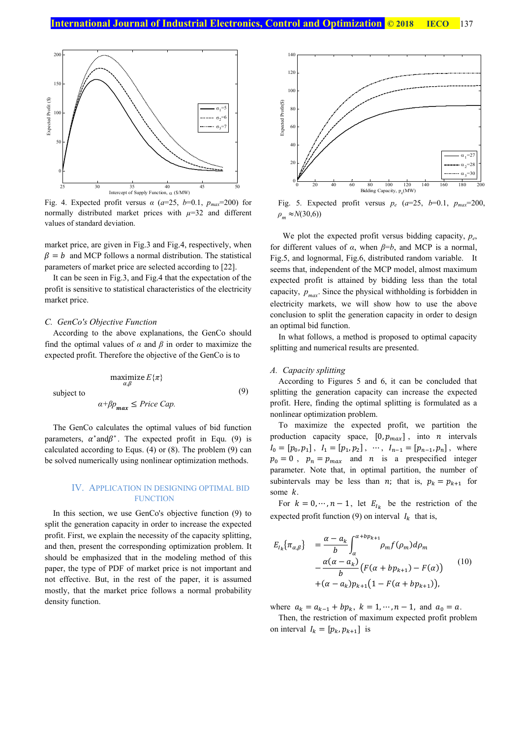

Fig. 4. Expected profit versus  $\alpha$  ( $a=25$ ,  $b=0.1$ ,  $p_{max}=200$ ) for normally distributed market prices with  $\mu$ =32 and different values of standard deviation.

market price, are given in Fig.3 and Fig.4, respectively, when  $\beta = b$  and MCP follows a normal distribution. The statistical parameters of market price are selected according to [22].

It can be seen in Fig.3, and Fig.4 that the expectation of the profit is sensitive to statistical characteristics of the electricity market price.

# *C. GenCo's Objective Function*

According to the above explanations, the GenCo should find the optimal values of  $\alpha$  and  $\beta$  in order to maximize the expected profit. Therefore the objective of the GenCo is to

subject to

$$
\alpha + \beta p_{\text{max}} \leq \text{Price Cap}.
$$

maximize  $E\{\pi\}$ 

The GenCo calculates the optimal values of bid function parameters,  $\alpha^*$ and $\beta^*$ . The expected profit in Equ. (9) is calculated according to Equs. (4) or (8). The problem (9) can be solved numerically using nonlinear optimization methods.

# IV. APPLICATION IN DESIGNING OPTIMAL BID **FUNCTION**

In this section, we use GenCo's objective function (9) to split the generation capacity in order to increase the expected profit. First, we explain the necessity of the capacity splitting, and then, present the corresponding optimization problem. It should be emphasized that in the modeling method of this paper, the type of PDF of market price is not important and not effective. But, in the rest of the paper, it is assumed mostly, that the market price follows a normal probability density function.



Fig. 5. Expected profit versus  $p_e$  ( $a=25$ ,  $b=0.1$ ,  $p_{max}=200$ ,  $\rho_m \approx N(30,6)$ 

We plot the expected profit versus bidding capacity, *p<sub>e</sub>*, for different values of  $\alpha$ , when  $\beta = b$ , and MCP is a normal, Fig.5, and lognormal, Fig.6, distributed random variable. It seems that, independent of the MCP model, almost maximum expected profit is attained by bidding less than the total capacity,  $p_{max}$ . Since the physical withholding is forbidden in electricity markets, we will show how to use the above conclusion to split the generation capacity in order to design an optimal bid function.

In what follows, a method is proposed to optimal capacity splitting and numerical results are presented.

# *A. Capacity splitting*

(9)

According to Figures 5 and 6, it can be concluded that splitting the generation capacity can increase the expected profit. Here, finding the optimal splitting is formulated as a nonlinear optimization problem.

To maximize the expected profit, we partition the production capacity space,  $[0, p_{max}]$ , into *n* intervals  $I_0 = [p_0, p_1], I_1 = [p_1, p_2], \dots, I_{n-1} = [p_{n-1}, p_n],$  where  $p_0 = 0$ ,  $p_n = p_{max}$  and *n* is a prespecified integer parameter. Note that, in optimal partition, the number of subintervals may be less than *n*; that is,  $p_k = p_{k+1}$  for some  $k$ .

For  $k = 0, \dots, n-1$ , let  $E_{I_k}$  be the restriction of the expected profit function (9) on interval  $I_k$  that is,

$$
E_{I_k} \{ \pi_{\alpha,\beta} \} = \frac{\alpha - a_k}{b} \int_{\alpha}^{\alpha + bp_{k+1}} \rho_m f(\rho_m) d\rho_m - \frac{\alpha(\alpha - a_k)}{b} \left( F(\alpha + bp_{k+1}) - F(\alpha) \right) + (\alpha - a_k) p_{k+1} (1 - F(\alpha + bp_{k+1})),
$$
\n(10)

where  $a_k = a_{k-1} + bp_k$ ,  $k = 1, \dots, n-1$ , and  $a_0 = a$ .

Then, the restriction of maximum expected profit problem on interval  $I_k = [p_k, p_{k+1}]$  is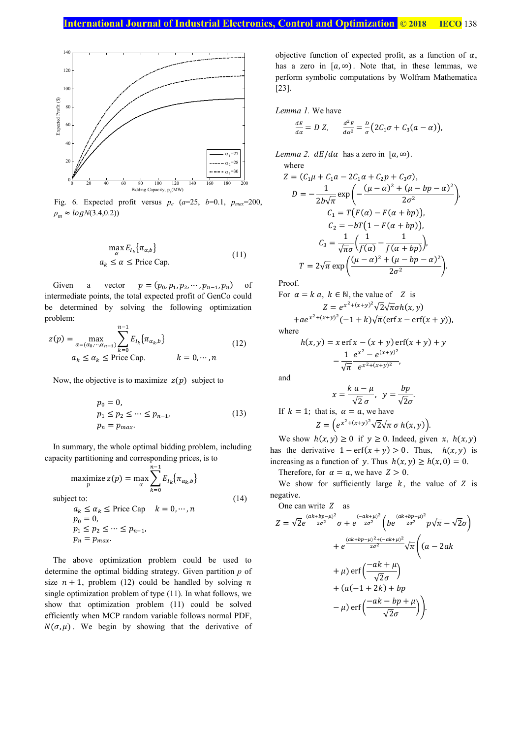

Fig. 6. Expected profit versus  $p_e$  ( $a=25$ ,  $b=0.1$ ,  $p_{max}=200$ ,  $\rho_m \approx logN(3.4, 0.2)$ 

$$
\max_{\alpha} E_{I_k} \{ \pi_{\alpha, b} \}
$$
  
\n
$$
a_k \le \alpha \le \text{Price Cap.}
$$
\n(11)

Given a vector  $p = (p_0, p_1, p_2, \cdots, p_{n-1}, p_n)$  of intermediate points, the total expected profit of GenCo could be determined by solving the following optimization problem:

$$
z(p) = \max_{\alpha = (\alpha_0, \cdots, \alpha_{n-1})} \sum_{k=0}^{n-1} E_{I_k} \{ \pi_{\alpha_k, b} \}
$$
  
\n
$$
a_k \le \alpha_k \le \text{Price Cap.} \qquad k = 0, \cdots, n
$$
\n(12)

Now, the objective is to maximize  $z(p)$  subject to

ଳି

$$
p_0 = 0,
$$
  
\n
$$
p_1 \le p_2 \le \dots \le p_{n-1},
$$
  
\n
$$
p_n = p_{max}.
$$
\n(13)

In summary, the whole optimal bidding problem, including capacity partitioning and corresponding prices, is to

$$
\begin{aligned}\n\text{maximize } z(p) &= \max_{\alpha} \sum_{k=0}^{n-1} E_{I_k} \{ \pi_{\alpha_k, b} \} \\
\text{subject to:} \\
a_k &\le \alpha_k \le \text{Price Cap} \quad k = 0, \dots, n \\
p_0 &= 0, \\
p_1 &\le p_2 \le \dots \le p_{n-1}, \\
p_n &= p_{\text{max}}.\n\end{aligned} \tag{14}
$$

The above optimization problem could be used to determine the optimal bidding strategy. Given partition *p* of size  $n + 1$ , problem (12) could be handled by solving *n* single optimization problem of type (11). In what follows, we show that optimization problem (11) could be solved efficiently when MCP random variable follows normal PDF,  $N(\sigma, \mu)$ . We begin by showing that the derivative of objective function of expected profit, as a function of  $\alpha$ , has a zero in  $[a, \infty)$ . Note that, in these lemmas, we perform symbolic computations by Wolfram Mathematica [23].

*Lemma 1.* We have

$$
\frac{dE}{da} = D Z, \qquad \frac{d^2E}{da^2} = \frac{D}{\sigma} \left( 2C_1\sigma + C_3(a - \alpha) \right),
$$

*Lemma 2.*  $dE/d\alpha$  *has a zero in*  $[a, \infty)$ *.* where

$$
Z = (C_1\mu + C_1a - 2C_1\alpha + C_2p + C_3\sigma),
$$
  
\n
$$
D = -\frac{1}{2b\sqrt{\pi}} \exp\left(-\frac{(\mu - \alpha)^2 + (\mu - bp - \alpha)^2}{2\sigma^2}\right),
$$
  
\n
$$
C_1 = T\left(F(\alpha) - F(\alpha + bp)\right),
$$
  
\n
$$
C_2 = -bT\left(1 - F(\alpha + bp)\right),
$$
  
\n
$$
C_3 = \frac{1}{\sqrt{\pi}\sigma} \left(\frac{1}{f(\alpha)} - \frac{1}{f(\alpha + bp)}\right),
$$
  
\n
$$
T = 2\sqrt{\pi} \exp\left(\frac{(\mu - \alpha)^2 + (\mu - bp - \alpha)^2}{2\sigma^2}\right).
$$

Proof.

For 
$$
\alpha = k \, a, \, k \in \mathbb{N}
$$
, the value of Z is  
\n
$$
Z = e^{x^2 + (x+y)^2} \sqrt{2} \sqrt{\pi} \sigma h(x, y)
$$

$$
+ae^{x^2+(x+y)^2}(-1+k)\sqrt{\pi}(\text{erf}x-\text{erf}(x+y)),
$$
 where

$$
h(x, y) = x \operatorname{erf} x - (x + y) \operatorname{erf} (x + y) + y
$$

$$
- \frac{1}{\sqrt{\pi}} \frac{e^{x^2} - e^{(x+y)^2}}{e^{x^2 + (x+y)^2}},
$$

and

$$
x = \frac{k a - \mu}{\sqrt{2} \sigma}, \quad y = \frac{bp}{\sqrt{2}\sigma}.
$$
  
If  $k = 1$ ; that is,  $\alpha = a$ , we have  

$$
Z = \left(e^{x^2 + (x+y)^2}\sqrt{2}\sqrt{\pi} \sigma h(x, y)\right).
$$

We show  $h(x, y) \ge 0$  if  $y \ge 0$ . Indeed, given  $x$ ,  $h(x, y)$ has the derivative  $1 - erf(x + y) > 0$ . Thus,  $h(x, y)$  is increasing as a function of y. Thus  $h(x, y) \ge h(x, 0) = 0$ .

Therefore, for  $\alpha = a$ , we have  $Z > 0$ .

We show for sufficiently large  $k$ , the value of  $Z$  is negative.

One can write  $Z$  as

$$
Z = \sqrt{2}e^{\frac{(ak+bp-\mu)^2}{2\sigma^2}}\sigma + e^{\frac{(-ak+\mu)^2}{2\sigma^2}}\left(be^{\frac{(ak+bp-\mu)^2}{2\sigma^2}}p\sqrt{\pi} - \sqrt{2}\sigma\right)
$$

$$
+ e^{\frac{(ak+bp-\mu)^2 + (-ak+\mu)^2}{2\sigma^2}}\sqrt{\pi}\left((a-2ak + \mu)\right)
$$

$$
+ \mu) \operatorname{erf}\left(\frac{-ak+\mu}{\sqrt{2}\sigma}\right)
$$

$$
+ (a(-1+2k) + bp - \mu) \operatorname{erf}\left(\frac{-ak-bp+\mu}{\sqrt{2}\sigma}\right).
$$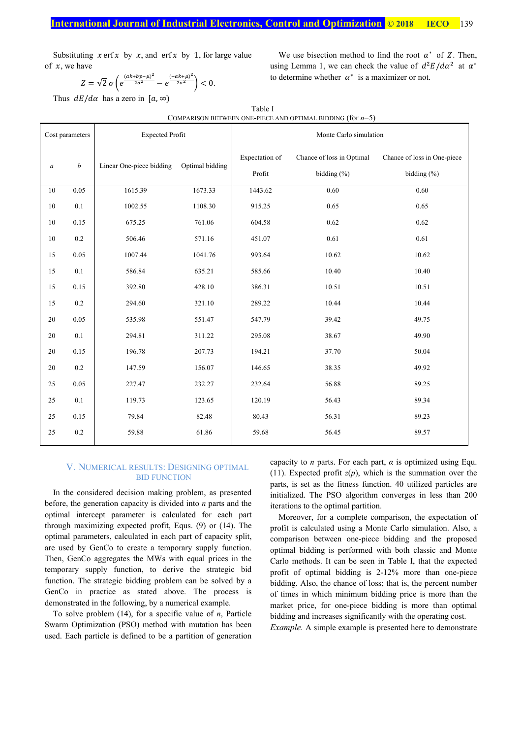# **International Journal of Industrial Electronics, Control and Optimization © 2018 IECO** 139

Substituting  $x$  erf  $x$  by  $x$ , and erf  $x$  by 1, for large value of  $x$ , we have

We use bisection method to find the root 
$$
\alpha^*
$$
 of Z. Then, using Lemma 1, we can check the value of  $d^2E/d\alpha^2$  at  $\alpha^*$  to determine whether  $\alpha^*$  is a maximizer or not.

 $Z = \sqrt{2} \sigma \left( e^{\frac{(ak + bp - \mu)^2}{2\sigma^2}} - e^{\frac{(-ak + \mu)^2}{2\sigma^2}} \right) < 0.$ 

Thus  $dE/d\alpha$  has a zero in  $[a, \infty)$ 

| COMPARISON BETWEEN ONE-PIECE AND OPTIMAL BIDDING (for $n=5$ ) |                  |                          |                 |                          |                                              |                                                |  |  |
|---------------------------------------------------------------|------------------|--------------------------|-----------------|--------------------------|----------------------------------------------|------------------------------------------------|--|--|
| Cost parameters                                               |                  | <b>Expected Profit</b>   |                 | Monte Carlo simulation   |                                              |                                                |  |  |
| $\boldsymbol{a}$                                              | $\boldsymbol{b}$ | Linear One-piece bidding | Optimal bidding | Expectation of<br>Profit | Chance of loss in Optimal<br>bidding $(\% )$ | Chance of loss in One-piece<br>bidding $(\% )$ |  |  |
| 10                                                            | 0.05             | 1615.39                  | 1673.33         | 1443.62                  | 0.60                                         | 0.60                                           |  |  |
| 10                                                            | $0.1\,$          | 1002.55                  | 1108.30         | 915.25                   | 0.65                                         | 0.65                                           |  |  |
| 10                                                            | 0.15             | 675.25                   | 761.06          | 604.58                   | 0.62                                         | 0.62                                           |  |  |
| 10                                                            | $0.2\,$          | 506.46                   | 571.16          | 451.07                   | 0.61                                         | 0.61                                           |  |  |
| 15                                                            | 0.05             | 1007.44                  | 1041.76         | 993.64                   | 10.62                                        | 10.62                                          |  |  |
| 15                                                            | 0.1              | 586.84                   | 635.21          | 585.66                   | 10.40                                        | 10.40                                          |  |  |
| 15                                                            | 0.15             | 392.80                   | 428.10          | 386.31                   | 10.51                                        | 10.51                                          |  |  |
| 15                                                            | $0.2\,$          | 294.60                   | 321.10          | 289.22                   | 10.44                                        | 10.44                                          |  |  |
| 20                                                            | 0.05             | 535.98                   | 551.47          | 547.79                   | 39.42                                        | 49.75                                          |  |  |
| 20                                                            | 0.1              | 294.81                   | 311.22          | 295.08                   | 38.67                                        | 49.90                                          |  |  |
| 20                                                            | 0.15             | 196.78                   | 207.73          | 194.21                   | 37.70                                        | 50.04                                          |  |  |
| 20                                                            | $0.2\,$          | 147.59                   | 156.07          | 146.65                   | 38.35                                        | 49.92                                          |  |  |
| 25                                                            | 0.05             | 227.47                   | 232.27          | 232.64                   | 56.88                                        | 89.25                                          |  |  |
| 25                                                            | 0.1              | 119.73                   | 123.65          | 120.19                   | 56.43                                        | 89.34                                          |  |  |
| 25                                                            | 0.15             | 79.84                    | 82.48           | 80.43                    | 56.31                                        | 89.23                                          |  |  |
| 25                                                            | $0.2\,$          | 59.88                    | 61.86           | 59.68                    | 56.45                                        | 89.57                                          |  |  |

# Table I

# V. NUMERICAL RESULTS: DESIGNING OPTIMAL BID FUNCTION

In the considered decision making problem, as presented before, the generation capacity is divided into *n* parts and the optimal intercept parameter is calculated for each part through maximizing expected profit, Equs. (9) or (14). The optimal parameters, calculated in each part of capacity split, are used by GenCo to create a temporary supply function. Then, GenCo aggregates the MWs with equal prices in the temporary supply function, to derive the strategic bid function. The strategic bidding problem can be solved by a GenCo in practice as stated above. The process is demonstrated in the following, by a numerical example.

To solve problem (14), for a specific value of *n*, Particle Swarm Optimization (PSO) method with mutation has been used. Each particle is defined to be a partition of generation capacity to *n* parts. For each part,  $\alpha$  is optimized using Equ. (11). Expected profit  $z(p)$ , which is the summation over the parts, is set as the fitness function. 40 utilized particles are initialized. The PSO algorithm converges in less than 200 iterations to the optimal partition.

Moreover, for a complete comparison, the expectation of profit is calculated using a Monte Carlo simulation. Also, a comparison between one-piece bidding and the proposed optimal bidding is performed with both classic and Monte Carlo methods. It can be seen in Table I, that the expected profit of optimal bidding is 2-12% more than one-piece bidding. Also, the chance of loss; that is, the percent number of times in which minimum bidding price is more than the market price, for one-piece bidding is more than optimal bidding and increases significantly with the operating cost.

*Example.* A simple example is presented here to demonstrate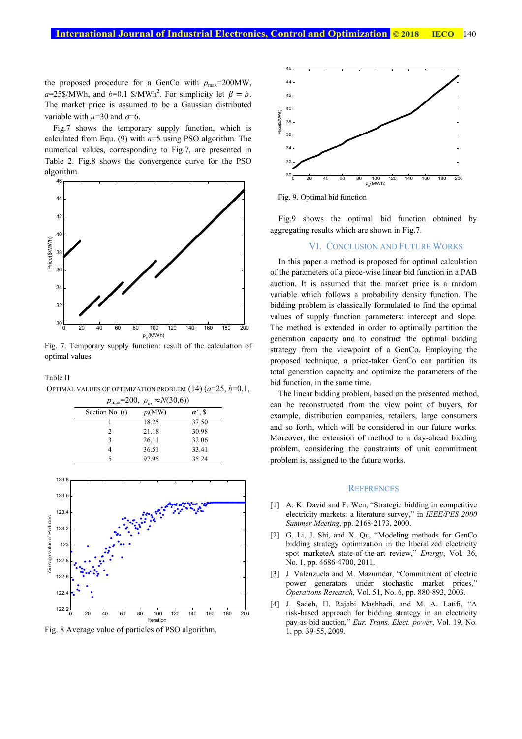the proposed procedure for a GenCo with  $p_{\text{max}}$ =200MW,  $a=25\$ /MWh, and  $b=0.1$  \\$/MWh<sup>2</sup>. For simplicity let  $\beta = b$ . The market price is assumed to be a Gaussian distributed variable with  $\mu$ =30 and  $\sigma$ =6.

Fig.7 shows the temporary supply function, which is calculated from Equ. (9) with *n*=5 using PSO algorithm. The numerical values, corresponding to Fig.7, are presented in Table 2. Fig.8 shows the convergence curve for the PSO algorithm.



Fig. 7. Temporary supply function: result of the calculation of optimal values

Table II

OPTIMAL VALUES OF OPTIMIZATION PROBLEM (14) (*a*=25, *b*=0.1,





Fig. 8 Average value of particles of PSO algorithm.



Fig. 9. Optimal bid function

Fig.9 shows the optimal bid function obtained by aggregating results which are shown in Fig.7.

#### VI. CONCLUSION AND FUTURE WORKS

In this paper a method is proposed for optimal calculation of the parameters of a piece-wise linear bid function in a PAB auction. It is assumed that the market price is a random variable which follows a probability density function. The bidding problem is classically formulated to find the optimal values of supply function parameters: intercept and slope. The method is extended in order to optimally partition the generation capacity and to construct the optimal bidding strategy from the viewpoint of a GenCo. Employing the proposed technique, a price-taker GenCo can partition its total generation capacity and optimize the parameters of the bid function, in the same time.

The linear bidding problem, based on the presented method, can be reconstructed from the view point of buyers, for example, distribution companies, retailers, large consumers and so forth, which will be considered in our future works. Moreover, the extension of method to a day-ahead bidding problem, considering the constraints of unit commitment problem is, assigned to the future works.

#### **REFERENCES**

- [1] A. K. David and F. Wen, "Strategic bidding in competitive electricity markets: a literature survey," in *IEEE/PES 2000 Summer Meeting*, pp. 2168-2173, 2000.
- [2] G. Li, J. Shi, and X. Qu, "Modeling methods for GenCo bidding strategy optimization in the liberalized electricity spot marketeA state-of-the-art review," *Energy*, Vol. 36, No. 1, pp. 4686-4700, 2011.
- [3] J. Valenzuela and M. Mazumdar, "Commitment of electric power generators under stochastic market prices," *Operations Research*, Vol. 51, No. 6, pp. 880-893, 2003.
- [4] J. Sadeh, H. Rajabi Mashhadi, and M. A. Latifi, "A risk-based approach for bidding strategy in an electricity pay-as-bid auction," *Eur. Trans. Elect. power*, Vol. 19, No. 1, pp. 39-55, 2009.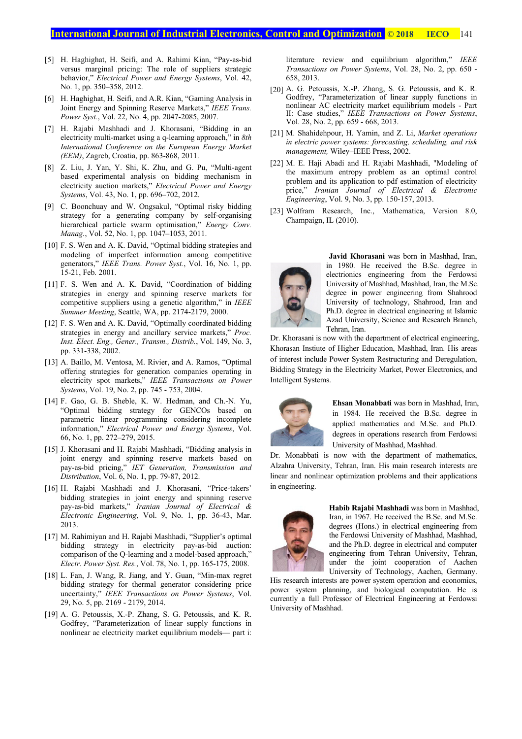- [5] H. Haghighat, H. Seifi, and A. Rahimi Kian, "Pay-as-bid versus marginal pricing: The role of suppliers strategic behavior," *Electrical Power and Energy Systems*, Vol. 42, No. 1, pp. 350–358, 2012.
- [6] H. Haghighat, H. Seifi, and A.R. Kian, "Gaming Analysis in Joint Energy and Spinning Reserve Markets," *IEEE Trans. Power Syst.*, Vol. 22, No. 4, pp. 2047-2085, 2007.
- [7] H. Rajabi Mashhadi and J. Khorasani, "Bidding in an electricity multi-market using a q-learning approach," in *8th International Conference on the European Energy Market (EEM)*, Zagreb, Croatia, pp. 863-868, 2011.
- [8] Z. Liu, J. Yan, Y. Shi, K. Zhu, and G. Pu, "Multi-agent based experimental analysis on bidding mechanism in electricity auction markets," *Electrical Power and Energy Systems*, Vol. 43, No. 1, pp. 696–702, 2012.
- [9] C. Boonchuay and W. Ongsakul, "Optimal risky bidding strategy for a generating company by self-organising hierarchical particle swarm optimisation," *Energy Conv. Manag.*, Vol. 52, No. 1, pp. 1047–1053, 2011.
- [10] F. S. Wen and A. K. David, "Optimal bidding strategies and modeling of imperfect information among competitive generators," *IEEE Trans. Power Syst.*, Vol. 16, No. 1, pp. 15-21, Feb. 2001.
- [11] F. S. Wen and A. K. David, "Coordination of bidding strategies in energy and spinning reserve markets for competitive suppliers using a genetic algorithm," in *IEEE Summer Meeting*, Seattle, WA, pp. 2174-2179, 2000.
- [12] F. S. Wen and A. K. David, "Optimally coordinated bidding strategies in energy and ancillary service markets," *Proc. Inst. Elect. Eng., Gener., Transm., Distrib.*, Vol. 149, No. 3, pp. 331-338, 2002.
- [13] A. Baillo, M. Ventosa, M. Rivier, and A. Ramos, "Optimal offering strategies for generation companies operating in electricity spot markets," *IEEE Transactions on Power Systems*, Vol. 19, No. 2, pp. 745 - 753, 2004.
- [14] F. Gao, G. B. Sheble, K. W. Hedman, and Ch.-N. Yu, "Optimal bidding strategy for GENCOs based on parametric linear programming considering incomplete information," *Electrical Power and Energy Systems*, Vol. 66, No. 1, pp. 272–279, 2015.
- [15] J. Khorasani and H. Rajabi Mashhadi, "Bidding analysis in joint energy and spinning reserve markets based on pay-as-bid pricing," *IET Generation, Transmission and Distribution*, Vol. 6, No. 1, pp. 79-87, 2012.
- [16] H. Rajabi Mashhadi and J. Khorasani, "Price-takers' bidding strategies in joint energy and spinning reserve pay-as-bid markets," *Iranian Journal of Electrical & Electronic Engineering*, Vol. 9, No. 1, pp. 36-43, Mar. 2013.
- [17] M. Rahimiyan and H. Rajabi Mashhadi, "Supplier's optimal bidding strategy in electricity pay-as-bid auction: comparison of the Q-learning and a model-based approach," *Electr. Power Syst. Res.*, Vol. 78, No. 1, pp. 165-175, 2008.
- [18] L. Fan, J. Wang, R. Jiang, and Y. Guan, "Min-max regret bidding strategy for thermal generator considering price uncertainty," *IEEE Transactions on Power Systems*, Vol. 29, No. 5, pp. 2169 - 2179, 2014.
- [19] A. G. Petoussis, X.-P. Zhang, S. G. Petoussis, and K. R. Godfrey, "Parameterization of linear supply functions in nonlinear ac electricity market equilibrium models— part i:

literature review and equilibrium algorithm," *IEEE Transactions on Power Systems*, Vol. 28, No. 2, pp. 650 - 658, 2013.

- [20] A. G. Petoussis, X.-P. Zhang, S. G. Petoussis, and K. R. Godfrey, "Parameterization of linear supply functions in nonlinear AC electricity market equilibrium models - Part II: Case studies," *IEEE Transactions on Power Systems*, Vol. 28, No. 2, pp. 659 - 668, 2013.
- [21] M. Shahidehpour, H. Yamin, and Z. Li, *Market operations in electric power systems: forecasting, scheduling, and risk management,* Wiley–IEEE Press, 2002.
- [22] M. E. Haji Abadi and H. Rajabi Mashhadi, "Modeling of the maximum entropy problem as an optimal control problem and its application to pdf estimation of electricity price," *Iranian Journal of Electrical & Electronic Engineering*, Vol. 9, No. 3, pp. 150-157, 2013.
- [23] Wolfram Research, Inc., Mathematica, Version 8.0, Champaign, IL (2010).



**Javid Khorasani** was born in Mashhad, Iran, in 1980. He received the B.Sc. degree in electrionics engineering from the Ferdowsi University of Mashhad, Mashhad, Iran, the M.Sc. degree in power engineering from Shahrood University of technology, Shahrood, Iran and Ph.D. degree in electrical engineering at Islamic Azad University, Science and Research Branch, Tehran, Iran.

Dr. Khorasani is now with the department of electrical engineering, Khorasan Instiute of Higher Education, Mashhad, Iran. His areas of interest include Power System Restructuring and Deregulation, Bidding Strategy in the Electricity Market, Power Electronics, and Intelligent Systems.



**Ehsan Monabbati** was born in Mashhad, Iran, in 1984. He received the B.Sc. degree in applied mathematics and M.Sc. and Ph.D. degrees in operations research from Ferdowsi University of Mashhad, Mashhad.

Dr. Monabbati is now with the department of mathematics, Alzahra University, Tehran, Iran. His main research interests are linear and nonlinear optimization problems and their applications in engineering.



**Habib Rajabi Mashhadi** was born in Mashhad, Iran, in 1967. He received the B.Sc. and M.Sc. degrees (Hons.) in electrical engineering from the Ferdowsi University of Mashhad, Mashhad, and the Ph.D. degree in electrical and computer engineering from Tehran University, Tehran, under the joint cooperation of Aachen University of Technology, Aachen, Germany.

His research interests are power system operation and economics, power system planning, and biological computation. He is currently a full Professor of Electrical Engineering at Ferdowsi University of Mashhad.